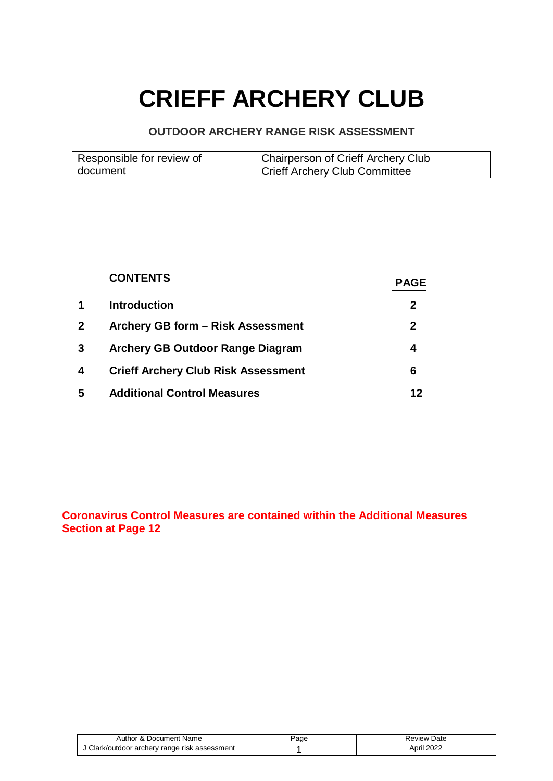# **CRIEFF ARCHERY CLUB**

### **OUTDOOR ARCHERY RANGE RISK ASSESSMENT**

| Responsible for review of | Chairperson of Crieff Archery Club |
|---------------------------|------------------------------------|
| document                  | Crieff Archery Club Committee      |

|   | <b>CONTENTS</b>                            | <b>PAGE</b>  |
|---|--------------------------------------------|--------------|
| 1 | <b>Introduction</b>                        | 2            |
| 2 | Archery GB form - Risk Assessment          | $\mathbf{2}$ |
| 3 | Archery GB Outdoor Range Diagram           | 4            |
| 4 | <b>Crieff Archery Club Risk Assessment</b> | 6            |
| 5 | <b>Additional Control Measures</b>         |              |

## **Coronavirus Control Measures are contained within the Additional Measures Section at Page 12**

| Author & Document Name                      | aae | Review Date |
|---------------------------------------------|-----|-------------|
| Clark/outdoor archery range risk assessment |     | April 2022  |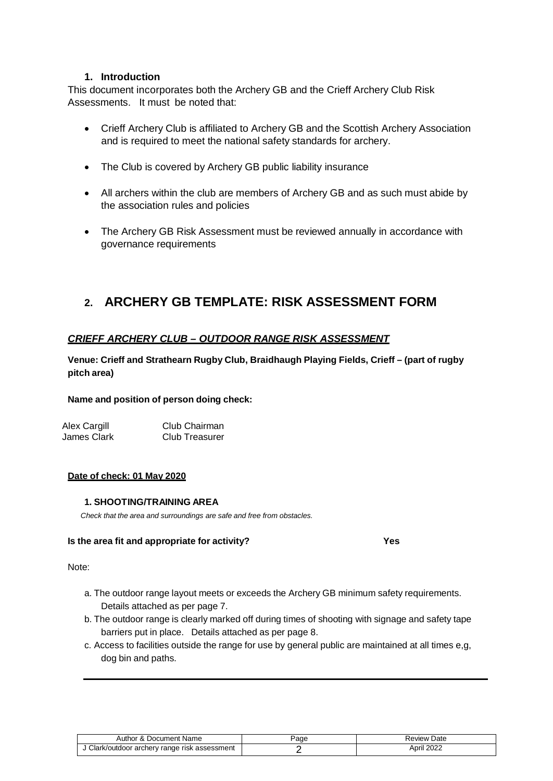#### **1. Introduction**

This document incorporates both the Archery GB and the Crieff Archery Club Risk Assessments. It must be noted that:

- Crieff Archery Club is affiliated to Archery GB and the Scottish Archery Association and is required to meet the national safety standards for archery.
- The Club is covered by Archery GB public liability insurance
- All archers within the club are members of Archery GB and as such must abide by the association rules and policies
- The Archery GB Risk Assessment must be reviewed annually in accordance with governance requirements

## **2. ARCHERY GB TEMPLATE: RISK ASSESSMENT FORM**

#### *CRIEFF ARCHERY CLUB – OUTDOOR RANGE RISK ASSESSMENT*

**Venue: Crieff and Strathearn Rugby Club, Braidhaugh Playing Fields, Crieff – (part of rugby pitch area)**

#### **Name and position of person doing check:**

Alex Cargill Club Chairman James Clark Club Treasurer

#### **Date of check: 01 May 2020**

#### **1. SHOOTING/TRAINING AREA**

*Check that the area and surroundings are safe and free from obstacles.*

#### **Is the area fit and appropriate for activity? Yes**

#### Note:

- a. The outdoor range layout meets or exceeds the Archery GB minimum safety requirements. Details attached as per page 7.
- b. The outdoor range is clearly marked off during times of shooting with signage and safety tape barriers put in place. Details attached as per page 8.
- c. Access to facilities outside the range for use by general public are maintained at all times e,g, dog bin and paths.

| Author & Document Name                      | 'age | Review Date |
|---------------------------------------------|------|-------------|
| Clark/outdoor archery range risk assessment |      | April 2022  |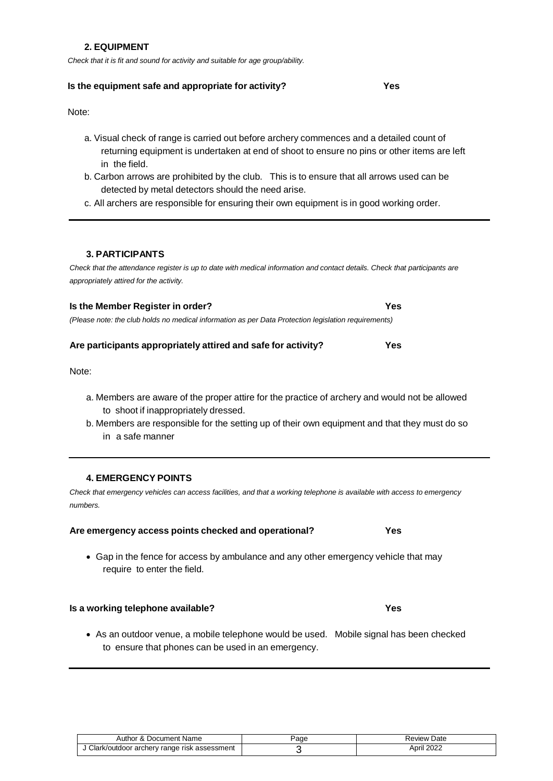#### **2. EQUIPMENT**

*Check that it is fit and sound for activity and suitable for age group/ability.*

#### **Is the equipment safe and appropriate for activity? Yes**

Note:

- a. Visual check of range is carried out before archery commences and a detailed count of returning equipment is undertaken at end of shoot to ensure no pins or other items are left in the field.
- b. Carbon arrows are prohibited by the club. This is to ensure that all arrows used can be detected by metal detectors should the need arise.
- c. All archers are responsible for ensuring their own equipment is in good working order.

#### **3. PARTICIPANTS**

*Check that the attendance register is up to date with medical information and contact details. Check that participants are appropriately attired for the activity.*

| Is the Member Register in order?                                                                     | <b>Yes</b> |  |
|------------------------------------------------------------------------------------------------------|------------|--|
| (Please note: the club holds no medical information as per Data Protection legislation requirements) |            |  |

#### **Are participants appropriately attired and safe for activity? Yes**

Note:

- a. Members are aware of the proper attire for the practice of archery and would not be allowed to shoot if inappropriately dressed.
- b. Members are responsible for the setting up of their own equipment and that they must do so in a safe manner

#### **4. EMERGENCY POINTS**

*Check that emergency vehicles can access facilities, and that a working telephone is available with access to emergency numbers.*

#### **Are emergency access points checked and operational? Yes**

• Gap in the fence for access by ambulance and any other emergency vehicle that may require to enter the field.

#### **Is a working telephone available? Yes**

• As an outdoor venue, a mobile telephone would be used. Mobile signal has been checked to ensure that phones can be used in an emergency.

| Author & Document Name                      | 'age | Review Date |
|---------------------------------------------|------|-------------|
| Clark/outdoor archery range risk assessment |      | April 2022  |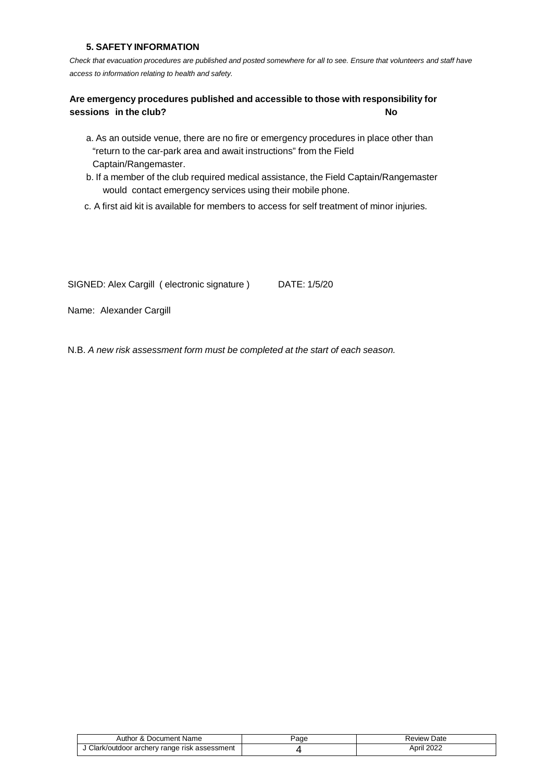#### **5. SAFETY INFORMATION**

*Check that evacuation procedures are published and posted somewhere for all to see. Ensure that volunteers and staff have access to information relating to health and safety.*

#### **Are emergency procedures published and accessible to those with responsibility for sessions in the club? No**

- a. As an outside venue, there are no fire or emergency procedures in place other than "return to the car-park area and await instructions" from the Field Captain/Rangemaster.
- b. If a member of the club required medical assistance, the Field Captain/Rangemaster would contact emergency services using their mobile phone.
- c. A first aid kit is available for members to access for self treatment of minor injuries.

SIGNED: Alex Cargill ( electronic signature ) DATE: 1/5/20

Name: Alexander Cargill

N.B. *A new risk assessment form must be completed at the start of each season.*

| Author & Document Name                      | 'age | Review Date |
|---------------------------------------------|------|-------------|
| Clark/outdoor archery range risk assessment |      | April 2022  |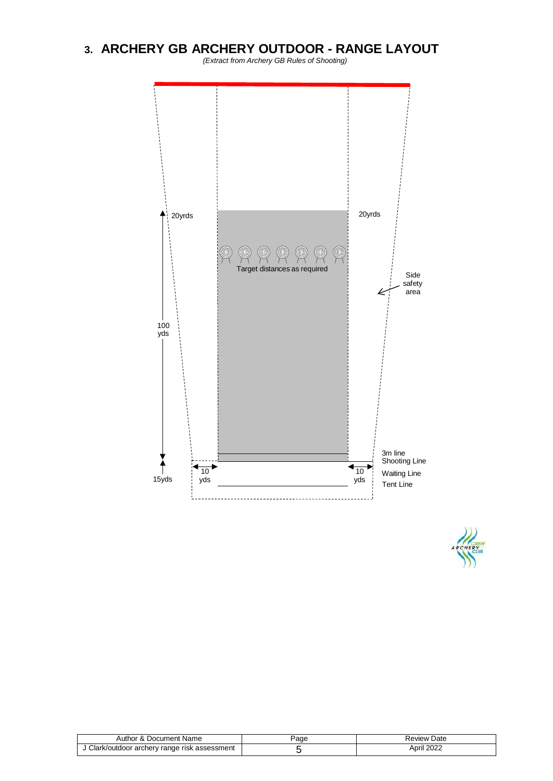## **3. ARCHERY GB ARCHERY OUTDOOR - RANGE LAYOUT**

*(Extract from Archery GB Rules of Shooting)*





| Document Name ،<br>Author<br>$\alpha$       | Page | Date<br>Review |
|---------------------------------------------|------|----------------|
| Clark/outdoor archery range risk assessment |      | April 2022     |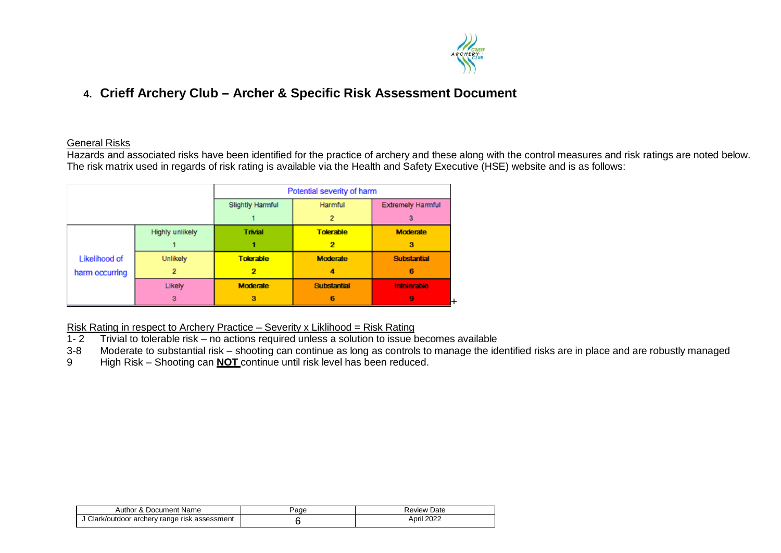

## **4. Crieff Archery Club – Archer & Specific Risk Assessment Document**

#### General Risks

Hazards and associated risks have been identified for the practice of archery and these along with the control measures and risk ratings are noted below. The risk matrix used in regards of risk rating is available via the Health and Safety Executive (HSE) website and is as follows:

|                |                 | Potential severity of harm         |                    |                          |
|----------------|-----------------|------------------------------------|--------------------|--------------------------|
|                |                 | <b>Slightly Harmful</b><br>Harmful |                    | <b>Extremely Harmful</b> |
|                |                 |                                    | 2                  | з                        |
|                | Highly unlikely | Trivial                            | <b>Tolerable</b>   | <b>Moderate</b>          |
|                |                 |                                    | 2                  | з                        |
| Likelihood of  | Unlikely        | <b>Tolerable</b>                   | <b>Moderate</b>    | <b>Substantial</b>       |
| harm occurring |                 | 2                                  | 4                  | 6                        |
|                | Likely          | <b>Moderate</b>                    | <b>Substantial</b> | Intolerable              |
|                | з               | з                                  | 6                  | 9                        |

Risk Rating in respect to Archery Practice – Severity x Liklihood = Risk Rating

- 1- 2 Trivial to tolerable risk no actions required unless a solution to issue becomes available
- 3-8 Moderate to substantial risk shooting can continue as long as controls to manage the identified risks are in place and are robustly managed
- 9 High Risk Shooting can **NOT** continue until risk level has been reduced.

| Author &<br>Document Name ،                 | Page | <b>Review Date</b> |
|---------------------------------------------|------|--------------------|
| Clark/outdoor archery range risk assessment |      | April 2022         |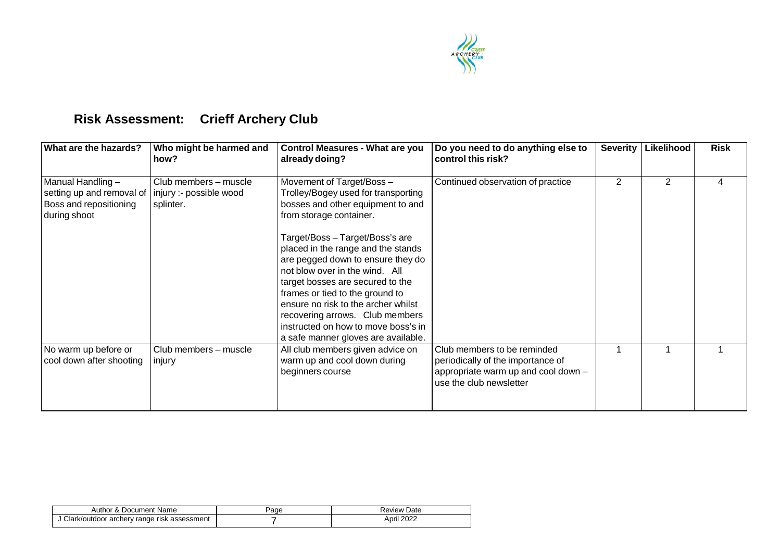

# **Risk Assessment: Crieff Archery Club**

| What are the hazards?                                                                      | Who might be harmed and<br>how?                               | <b>Control Measures - What are you</b><br>already doing?                                                                                                                                                                                                                                                                                                                    | Do you need to do anything else to<br>control this risk?                                                                           | <b>Severity</b> | Likelihood     | <b>Risk</b> |
|--------------------------------------------------------------------------------------------|---------------------------------------------------------------|-----------------------------------------------------------------------------------------------------------------------------------------------------------------------------------------------------------------------------------------------------------------------------------------------------------------------------------------------------------------------------|------------------------------------------------------------------------------------------------------------------------------------|-----------------|----------------|-------------|
| Manual Handling $-$<br>setting up and removal of<br>Boss and repositioning<br>during shoot | Club members - muscle<br>injury :- possible wood<br>splinter. | Movement of Target/Boss -<br>Trolley/Bogey used for transporting<br>bosses and other equipment to and<br>from storage container.                                                                                                                                                                                                                                            | Continued observation of practice                                                                                                  | 2               | $\overline{2}$ | 4           |
|                                                                                            |                                                               | Target/Boss - Target/Boss's are<br>placed in the range and the stands<br>are pegged down to ensure they do<br>not blow over in the wind. All<br>target bosses are secured to the<br>frames or tied to the ground to<br>ensure no risk to the archer whilst<br>recovering arrows. Club members<br>instructed on how to move boss's in<br>a safe manner gloves are available. |                                                                                                                                    |                 |                |             |
| No warm up before or<br>cool down after shooting                                           | Club members - muscle<br>injury                               | All club members given advice on<br>warm up and cool down during<br>beginners course                                                                                                                                                                                                                                                                                        | Club members to be reminded<br>periodically of the importance of<br>appropriate warm up and cool down -<br>use the club newsletter |                 |                |             |

| Author & Document Name                      | ⊵aαe | Review Date |
|---------------------------------------------|------|-------------|
| Clark/outdoor archery range risk assessment |      | April 2022  |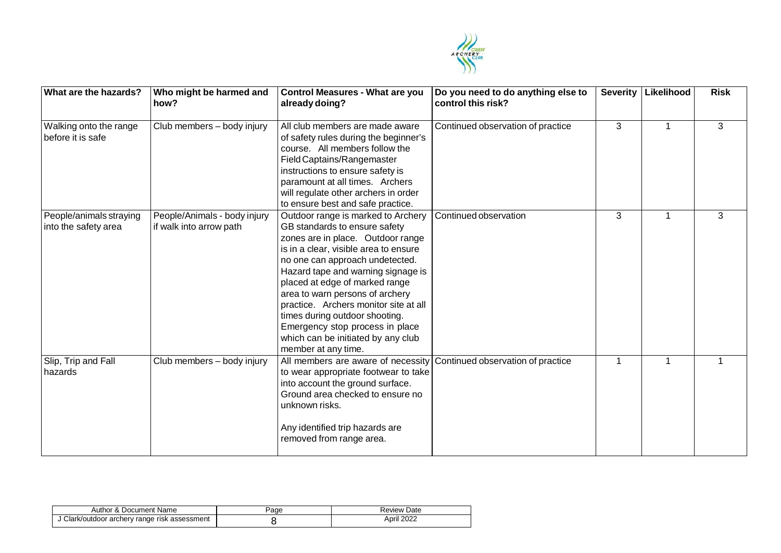

| What are the hazards?                           | Who might be harmed and<br>how?                         | <b>Control Measures - What are you</b><br>already doing?                                                                                                                                                                                                                                                                                                                                                                                                                   | Do you need to do anything else to<br>control this risk? | <b>Severity</b> | Likelihood | <b>Risk</b> |
|-------------------------------------------------|---------------------------------------------------------|----------------------------------------------------------------------------------------------------------------------------------------------------------------------------------------------------------------------------------------------------------------------------------------------------------------------------------------------------------------------------------------------------------------------------------------------------------------------------|----------------------------------------------------------|-----------------|------------|-------------|
| Walking onto the range<br>before it is safe     | Club members - body injury                              | All club members are made aware<br>of safety rules during the beginner's<br>course. All members follow the<br>Field Captains/Rangemaster<br>instructions to ensure safety is<br>paramount at all times. Archers<br>will regulate other archers in order<br>to ensure best and safe practice.                                                                                                                                                                               | Continued observation of practice                        | 3               | 1          | 3           |
| People/animals straying<br>into the safety area | People/Animals - body injury<br>if walk into arrow path | Outdoor range is marked to Archery<br>GB standards to ensure safety<br>zones are in place. Outdoor range<br>is in a clear, visible area to ensure<br>no one can approach undetected.<br>Hazard tape and warning signage is<br>placed at edge of marked range<br>area to warn persons of archery<br>practice. Archers monitor site at all<br>times during outdoor shooting.<br>Emergency stop process in place<br>which can be initiated by any club<br>member at any time. | Continued observation                                    | 3               | 1          | 3           |
| Slip, Trip and Fall<br>hazards                  | Club members - body injury                              | All members are aware of necessity<br>to wear appropriate footwear to take<br>into account the ground surface.<br>Ground area checked to ensure no<br>unknown risks.<br>Any identified trip hazards are<br>removed from range area.                                                                                                                                                                                                                                        | Continued observation of practice                        |                 | 1          |             |

| Author & Document Name                        | ⊎aαe | Review Date |
|-----------------------------------------------|------|-------------|
| J Clark/outdoor archery range risk assessment |      | April 2022  |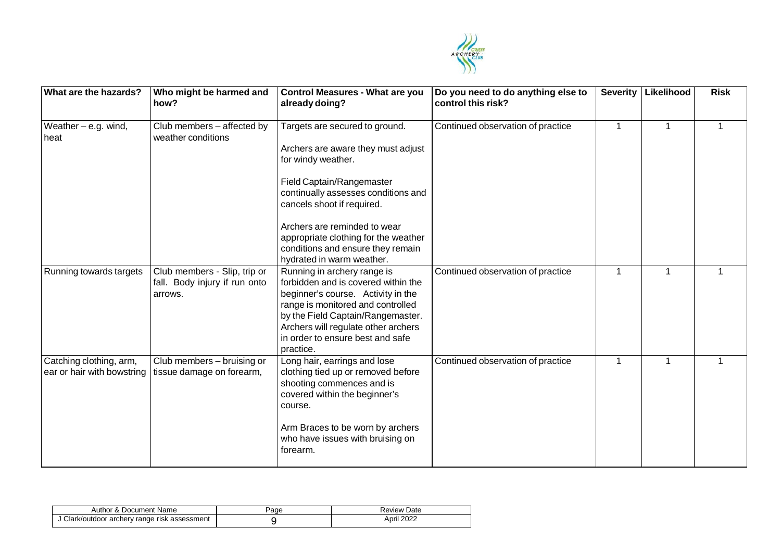

| What are the hazards?                                 | Who might be harmed and<br>how?                                          | <b>Control Measures - What are you</b><br>already doing?                                                                                                                                                                                                                   | Do you need to do anything else to<br>control this risk? | <b>Severity</b> | Likelihood | <b>Risk</b> |
|-------------------------------------------------------|--------------------------------------------------------------------------|----------------------------------------------------------------------------------------------------------------------------------------------------------------------------------------------------------------------------------------------------------------------------|----------------------------------------------------------|-----------------|------------|-------------|
| Weather $-$ e.g. wind,<br>heat                        | Club members - affected by<br>weather conditions                         | Targets are secured to ground.<br>Archers are aware they must adjust<br>for windy weather.<br>Field Captain/Rangemaster<br>continually assesses conditions and<br>cancels shoot if required.                                                                               | Continued observation of practice                        |                 | 1          |             |
|                                                       |                                                                          | Archers are reminded to wear<br>appropriate clothing for the weather<br>conditions and ensure they remain<br>hydrated in warm weather.                                                                                                                                     |                                                          |                 |            |             |
| Running towards targets                               | Club members - Slip, trip or<br>fall. Body injury if run onto<br>arrows. | Running in archery range is<br>forbidden and is covered within the<br>beginner's course. Activity in the<br>range is monitored and controlled<br>by the Field Captain/Rangemaster.<br>Archers will regulate other archers<br>in order to ensure best and safe<br>practice. | Continued observation of practice                        | 1               | 1          | 1           |
| Catching clothing, arm,<br>ear or hair with bowstring | Club members - bruising or<br>tissue damage on forearm,                  | Long hair, earrings and lose<br>clothing tied up or removed before<br>shooting commences and is<br>covered within the beginner's<br>course.<br>Arm Braces to be worn by archers<br>who have issues with bruising on<br>forearm.                                            | Continued observation of practice                        |                 | 1          |             |

| r & Document Name<br>Author                 | <b>Page</b> | Date<br>Review |
|---------------------------------------------|-------------|----------------|
| Clark/outdoor archery range risk assessment |             | April 2022     |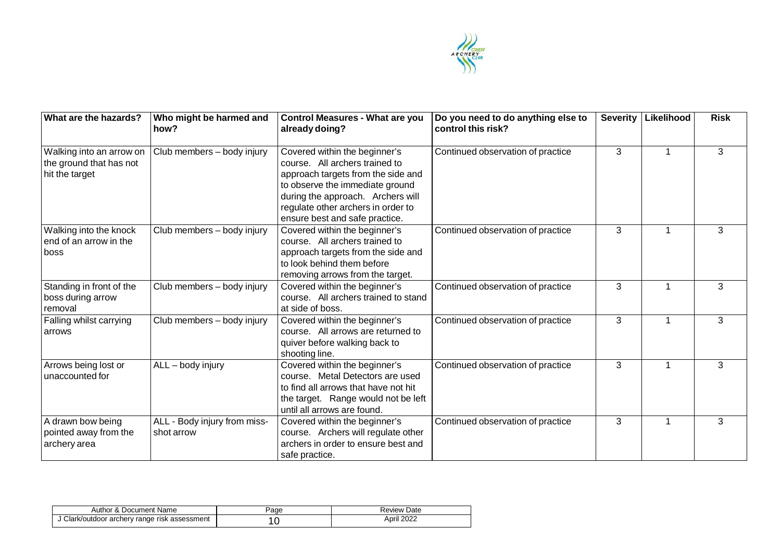

| What are the hazards?                                                 | Who might be harmed and<br>how?            | <b>Control Measures - What are you</b><br>already doing?                                                                                                                                                                                              | Do you need to do anything else to<br>control this risk? | <b>Severity</b> | Likelihood | <b>Risk</b> |
|-----------------------------------------------------------------------|--------------------------------------------|-------------------------------------------------------------------------------------------------------------------------------------------------------------------------------------------------------------------------------------------------------|----------------------------------------------------------|-----------------|------------|-------------|
| Walking into an arrow on<br>the ground that has not<br>hit the target | Club members - body injury                 | Covered within the beginner's<br>course. All archers trained to<br>approach targets from the side and<br>to observe the immediate ground<br>during the approach. Archers will<br>regulate other archers in order to<br>ensure best and safe practice. | Continued observation of practice                        | 3               | 1          | 3           |
| Walking into the knock<br>end of an arrow in the<br>boss              | Club members - body injury                 | Covered within the beginner's<br>course. All archers trained to<br>approach targets from the side and<br>to look behind them before<br>removing arrows from the target.                                                                               | Continued observation of practice                        | 3               | 1          | 3           |
| Standing in front of the<br>boss during arrow<br>removal              | Club members - body injury                 | Covered within the beginner's<br>course. All archers trained to stand<br>at side of boss.                                                                                                                                                             | Continued observation of practice                        | 3               | 1          | 3           |
| Falling whilst carrying<br>arrows                                     | Club members - body injury                 | Covered within the beginner's<br>course. All arrows are returned to<br>quiver before walking back to<br>shooting line.                                                                                                                                | Continued observation of practice                        | 3               | 1          | 3           |
| Arrows being lost or<br>unaccounted for                               | ALL - body injury                          | Covered within the beginner's<br>course. Metal Detectors are used<br>to find all arrows that have not hit<br>the target. Range would not be left<br>until all arrows are found.                                                                       | Continued observation of practice                        | 3               | 1          | 3           |
| A drawn bow being<br>pointed away from the<br>archery area            | ALL - Body injury from miss-<br>shot arrow | Covered within the beginner's<br>course. Archers will regulate other<br>archers in order to ensure best and<br>safe practice.                                                                                                                         | Continued observation of practice                        | 3               | 1          | 3           |

| Author & Document Name                      | 'aɑe | Review Date   |
|---------------------------------------------|------|---------------|
| Clark/outdoor archery range risk assessment |      | 2022<br>April |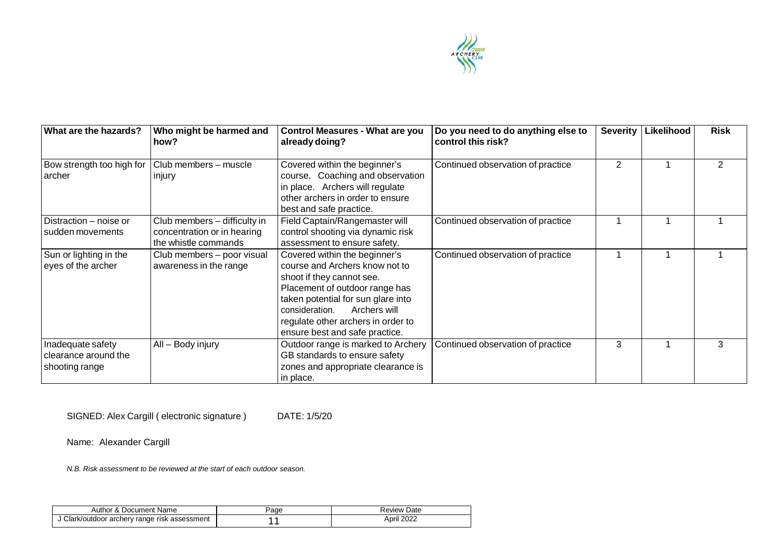

| What are the hazards?                                       | Who might be harmed and<br>how?                                                     | <b>Control Measures - What are you</b><br>already doing?                                                                                                                                                                                                                       | Do you need to do anything else to<br>control this risk? | <b>Severity</b> | Likelihood | <b>Risk</b>    |
|-------------------------------------------------------------|-------------------------------------------------------------------------------------|--------------------------------------------------------------------------------------------------------------------------------------------------------------------------------------------------------------------------------------------------------------------------------|----------------------------------------------------------|-----------------|------------|----------------|
| Bow strength too high for<br>archer                         | Club members - muscle<br>injury                                                     | Covered within the beginner's<br>course. Coaching and observation<br>in place. Archers will regulate<br>other archers in order to ensure<br>best and safe practice.                                                                                                            | Continued observation of practice                        | 2               |            | $\overline{2}$ |
| Distraction - noise or<br>sudden movements                  | Club members - difficulty in<br>concentration or in hearing<br>the whistle commands | Field Captain/Rangemaster will<br>control shooting via dynamic risk<br>assessment to ensure safety.                                                                                                                                                                            | Continued observation of practice                        |                 |            |                |
| Sun or lighting in the<br>eyes of the archer                | Club members - poor visual<br>awareness in the range                                | Covered within the beginner's<br>course and Archers know not to<br>shoot if they cannot see.<br>Placement of outdoor range has<br>taken potential for sun glare into<br>Archers will<br>consideration.<br>regulate other archers in order to<br>ensure best and safe practice. | Continued observation of practice                        |                 |            |                |
| Inadequate safety<br>clearance around the<br>shooting range | All - Body injury                                                                   | Outdoor range is marked to Archery<br>GB standards to ensure safety<br>zones and appropriate clearance is<br>in place.                                                                                                                                                         | Continued observation of practice                        | 3               |            | 3              |

SIGNED: Alex Cargill ( electronic signature ) DATE: 1/5/20

Name: Alexander Cargill

*N.B. Risk assessment to be reviewed at the start of each outdoor season.*

| Author & Document Name                        | 'age | Review Date |
|-----------------------------------------------|------|-------------|
| J Clark/outdoor archery range risk assessment |      | April 2022  |